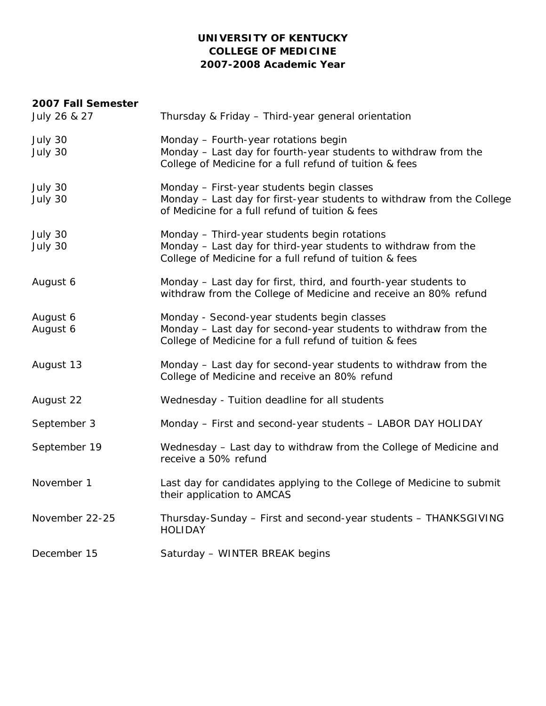## **UNIVERSITY OF KENTUCKY COLLEGE OF MEDICINE 2007-2008 Academic Year**

# **2007 Fall Semester**  July 26 & 27 Thursday & Friday – Third-year general orientation July 30 Monday – Fourth-year rotations begin July 30 Monday – Last day for fourth-year students to withdraw from the College of Medicine for a full refund of tuition & fees July 30 Monday – First-year students begin classes July 30 Monday – Last day for first-year students to withdraw from the College of Medicine for a full refund of tuition & fees July 30 Monday – Third-year students begin rotations July 30 Monday – Last day for third-year students to withdraw from the College of Medicine for a full refund of tuition & fees August 6 Monday – Last day for first, third, and fourth-year students to withdraw from the College of Medicine and receive an 80% refund August 6 Monday - Second-year students begin classes August 6 Monday – Last day for second-year students to withdraw from the College of Medicine for a full refund of tuition & fees August 13 Monday – Last day for second-year students to withdraw from the College of Medicine and receive an 80% refund August 22 Wednesday - Tuition deadline for all students September 3 Monday – First and second-year students – LABOR DAY HOLIDAY September 19 Wednesday – Last day to withdraw from the College of Medicine and receive a 50% refund November 1 Last day for candidates applying to the College of Medicine to submit their application to AMCAS November 22-25 Thursday-Sunday – First and second-year students – THANKSGIVING HOLIDAY December 15 Saturday – WINTER BREAK begins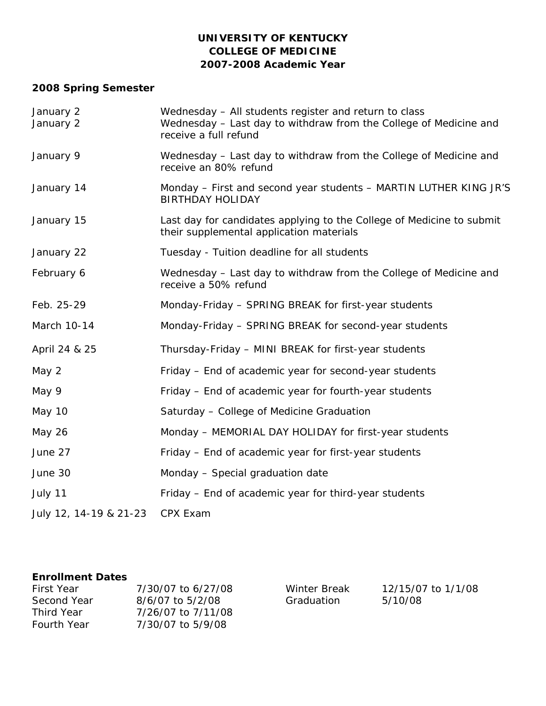# **UNIVERSITY OF KENTUCKY COLLEGE OF MEDICINE 2007-2008 Academic Year**

# **2008 Spring Semester**

| January 2<br>January 2 | Wednesday - All students register and return to class<br>Wednesday – Last day to withdraw from the College of Medicine and<br>receive a full refund |
|------------------------|-----------------------------------------------------------------------------------------------------------------------------------------------------|
| January 9              | Wednesday - Last day to withdraw from the College of Medicine and<br>receive an 80% refund                                                          |
| January 14             | Monday – First and second year students – MARTIN LUTHER KING JR'S<br><b>BIRTHDAY HOLIDAY</b>                                                        |
| January 15             | Last day for candidates applying to the College of Medicine to submit<br>their supplemental application materials                                   |
| January 22             | Tuesday - Tuition deadline for all students                                                                                                         |
| February 6             | Wednesday – Last day to withdraw from the College of Medicine and<br>receive a 50% refund                                                           |
| Feb. 25-29             | Monday-Friday - SPRING BREAK for first-year students                                                                                                |
| March 10-14            | Monday-Friday - SPRING BREAK for second-year students                                                                                               |
| April 24 & 25          | Thursday-Friday - MINI BREAK for first-year students                                                                                                |
| May 2                  | Friday - End of academic year for second-year students                                                                                              |
| May 9                  | Friday - End of academic year for fourth-year students                                                                                              |
| <b>May 10</b>          | Saturday - College of Medicine Graduation                                                                                                           |
| May 26                 | Monday - MEMORIAL DAY HOLIDAY for first-year students                                                                                               |
| June 27                | Friday - End of academic year for first-year students                                                                                               |
| June 30                | Monday - Special graduation date                                                                                                                    |
| July 11                | Friday - End of academic year for third-year students                                                                                               |
| July 12, 14-19 & 21-23 | CPX Exam                                                                                                                                            |

## **Enrollment Dates**

| First Year         | 7/30/07 to 6/27/08 |
|--------------------|--------------------|
| Second Year        | 8/6/07 to 5/2/08   |
| Third Year         | 7/26/07 to 7/11/08 |
| <b>Fourth Year</b> | 7/30/07 to 5/9/08  |

Winter Break Graduation

12/15/07 to 1/1/08 5/10/08